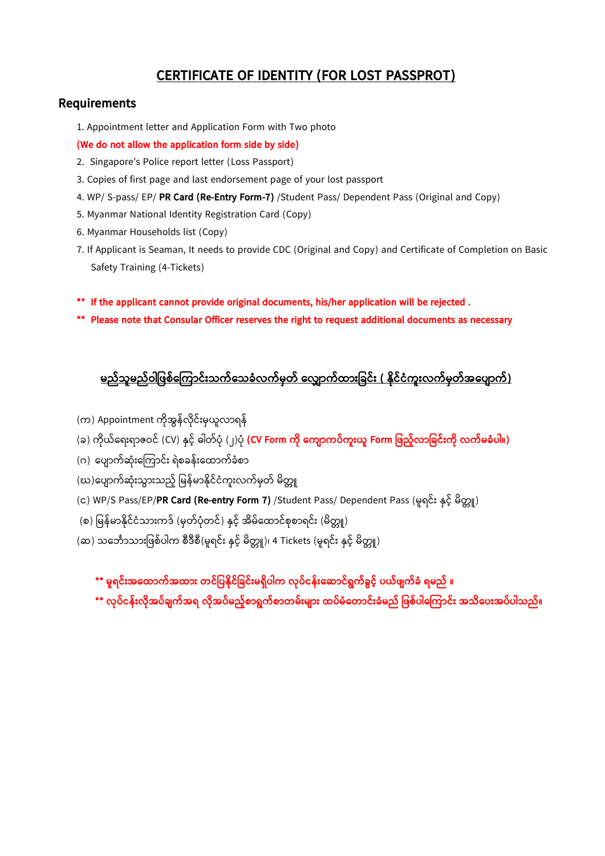## **CERTIFICATE OF IDENTITY (FOR LOST PASSPROT)**

#### **Requirements**

1. Appointment letter and Application Form with Two photo

#### **(We do not allow the application form side by side)**

- 2. Singapore's Police report letter (Loss Passport)
- 3. Copies of first page and last endorsement page of your lost passport
- 4. WP/ S-pass/ EP/ **PR Card (Re-Entry Form-7)** /Student Pass/ Dependent Pass (Original and Copy)
- 5. Myanmar National Identity Registration Card (Copy)
- 6. Myanmar Households list (Copy)
- 7. If Applicant is Seaman, It needs to provide CDC (Original and Copy) and Certificate of Completion on Basic Safety Training (4-Tickets)
- **\*\* If the applicant cannot provide original documents, his/her application will be rejected .**
- **\*\* Please note that Consular Officer reserves the right to request additional documents as necessary**

## <u>မည်သူမည်ဝါဖြစ်ကြောင်းသက်သေခံလက်မှတ် လျောက်ထားခြင်း ( နိုင်ငံကူးလက်မှတ်အပျောက်)</u>

- (က) Appointment ကိုအွန်လိုင်းမှယူလာရန်
- (ခ) က ိုယ်ရရ်းရာဇဝင် (CV) နှင့်် ဓါတ်ပ ို (၂)ပ ို **(CV Form က ို ကက ြောက ်ကူ်းယူ Form ဖြည ်လြောဖခင််းက ို လက်မခံ ါ။)**
- (ဂ) ပျောက်ဆုံးကြောင်း ရဲစခန်းထောက်ခံစာ
- (ဃ)ပျောက်ဆုံးသွားသည့် မြန်မာနိုင်ငံကူးလက်မှတ် မိတ္တူ
- (c) WP/S Pass/EP/**PR Card (Re-entry Form 7)** /Student Pass/ Dependent Pass (မူရင်း နှင့် မိတ္တူ)
- (စ) မြန်မာနိုင်ငံသားကဒ် (မှတ်ပုံတင်) နှင့် အိမ်ထောင်စုစာရင်း (မိတူူ)
- (ဆ) သင်္ဘောသားဖြစ်ပါက စီဒီစီ(မူရင်း နှင့် မိတ္တူ)၊ 4 Tickets (မူရင်း နှင့် မိတ္တူ)

**\*\* မူရင််းအကထြောက်အထြော်း တင်ဖ န ိုင်ဖခင််းမရှ ါက လို ်ငန််းက ြောင်ရွက်ခွင် ယ်ြ က်ခံ ရမည် ။**

**\*\* လို ်ငန််းလ ိုအ ်ခ က်အရ လ ိုအ ်မည် စြောရွက်စြောတမ််းမ ြော်း ထ ်မံကတြောင််းခံမည် ဖြစ် ါက ကြောင််း အသ က ်းအ ် ါသည်။**